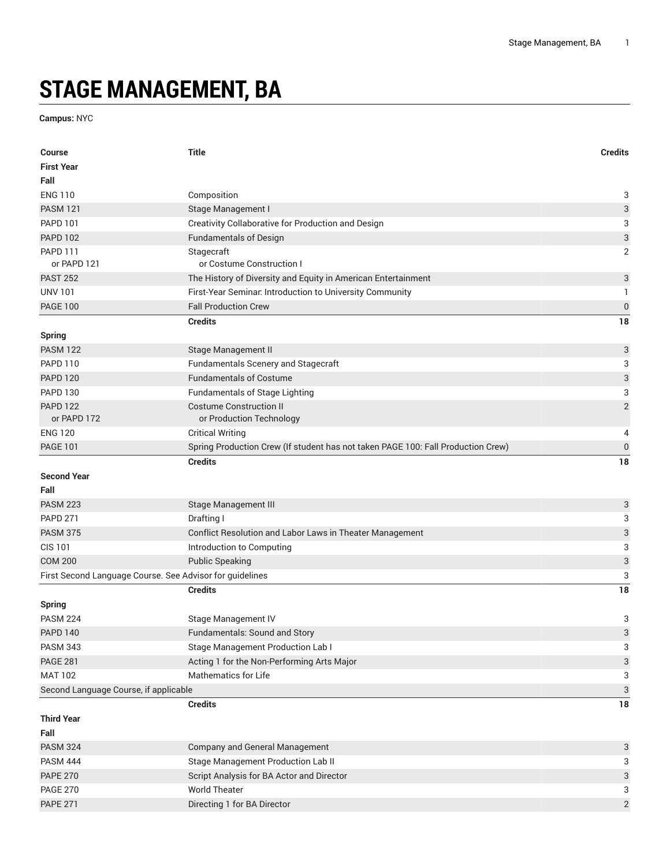## **STAGE MANAGEMENT, BA**

**Campus:** NYC

| <b>Course</b>                                            | <b>Title</b>                                                                     | <b>Credits</b>            |
|----------------------------------------------------------|----------------------------------------------------------------------------------|---------------------------|
| <b>First Year</b>                                        |                                                                                  |                           |
| Fall                                                     |                                                                                  |                           |
| <b>ENG 110</b>                                           | Composition                                                                      | 3                         |
| <b>PASM 121</b>                                          | Stage Management I                                                               | $\ensuremath{\mathsf{3}}$ |
| <b>PAPD 101</b>                                          | Creativity Collaborative for Production and Design                               | 3                         |
| <b>PAPD 102</b>                                          | <b>Fundamentals of Design</b>                                                    | $\ensuremath{\mathsf{3}}$ |
| <b>PAPD 111</b>                                          | Stagecraft                                                                       | $\overline{2}$            |
| or PAPD 121                                              | or Costume Construction I                                                        |                           |
| <b>PAST 252</b>                                          | The History of Diversity and Equity in American Entertainment                    | 3                         |
| <b>UNV 101</b>                                           | First-Year Seminar. Introduction to University Community                         | 1                         |
| <b>PAGE 100</b>                                          | <b>Fall Production Crew</b>                                                      | $\boldsymbol{0}$          |
|                                                          | <b>Credits</b>                                                                   | 18                        |
| <b>Spring</b>                                            |                                                                                  |                           |
| <b>PASM 122</b>                                          | Stage Management II                                                              | 3                         |
| <b>PAPD 110</b>                                          | Fundamentals Scenery and Stagecraft                                              | 3                         |
| <b>PAPD 120</b>                                          | <b>Fundamentals of Costume</b>                                                   | 3                         |
| <b>PAPD 130</b>                                          | <b>Fundamentals of Stage Lighting</b>                                            | 3                         |
| <b>PAPD 122</b>                                          | <b>Costume Construction II</b>                                                   | $\sqrt{2}$                |
| or PAPD 172                                              | or Production Technology                                                         |                           |
| <b>ENG 120</b>                                           | <b>Critical Writing</b>                                                          | 4                         |
| <b>PAGE 101</b>                                          | Spring Production Crew (If student has not taken PAGE 100: Fall Production Crew) | $\pmb{0}$                 |
|                                                          | <b>Credits</b>                                                                   | 18                        |
| <b>Second Year</b>                                       |                                                                                  |                           |
| Fall                                                     |                                                                                  |                           |
| <b>PASM 223</b>                                          | Stage Management III                                                             | 3                         |
| <b>PAPD 271</b>                                          | Drafting I                                                                       | 3                         |
| <b>PASM 375</b>                                          | Conflict Resolution and Labor Laws in Theater Management                         | $\ensuremath{\mathsf{3}}$ |
| <b>CIS 101</b>                                           | Introduction to Computing                                                        | 3                         |
| <b>COM 200</b>                                           | <b>Public Speaking</b>                                                           | $\ensuremath{\mathsf{3}}$ |
| First Second Language Course. See Advisor for guidelines |                                                                                  | 3                         |
|                                                          | <b>Credits</b>                                                                   | 18                        |
| <b>Spring</b>                                            |                                                                                  |                           |
| <b>PASM 224</b>                                          | Stage Management IV                                                              | 3                         |
| <b>PAPD 140</b>                                          | Fundamentals: Sound and Story                                                    | 3                         |
| <b>PASM 343</b>                                          | <b>Stage Management Production Lab I</b>                                         | 3                         |
| <b>PAGE 281</b>                                          | Acting 1 for the Non-Performing Arts Major                                       | 3                         |
| <b>MAT 102</b>                                           | <b>Mathematics for Life</b>                                                      | 3                         |
| Second Language Course, if applicable                    |                                                                                  | 3                         |
|                                                          | <b>Credits</b>                                                                   | 18                        |
| <b>Third Year</b>                                        |                                                                                  |                           |
| Fall                                                     |                                                                                  |                           |
| <b>PASM 324</b>                                          | Company and General Management                                                   | 3                         |
| <b>PASM 444</b>                                          | Stage Management Production Lab II                                               | 3                         |
| <b>PAPE 270</b>                                          | Script Analysis for BA Actor and Director                                        | 3                         |
| <b>PAGE 270</b>                                          | <b>World Theater</b>                                                             | 3                         |
| <b>PAPE 271</b>                                          | Directing 1 for BA Director                                                      | $\overline{2}$            |
|                                                          |                                                                                  |                           |